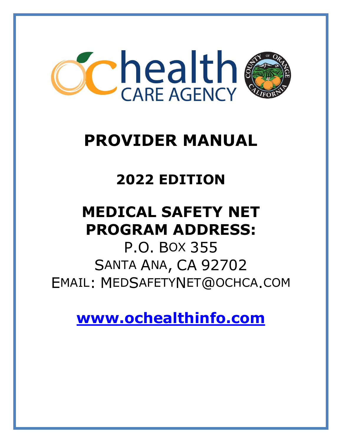

# **PROVIDER MANUAL**

## **2022 EDITION**

## **MEDICAL SAFETY NET PROGRAM ADDRESS:**

P.O. BOX 355 SANTA ANA, CA 92702 EMAIL: MEDSAFETYNET@OCHCA.COM

**[www.ochealthinfo.com](http://www.ochealthinfo.com/)**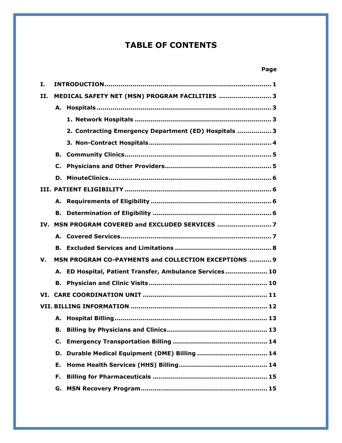## **TABLE OF CONTENTS**

## **Page**

| Ι.  |    |                                                         |
|-----|----|---------------------------------------------------------|
| II. |    | MEDICAL SAFETY NET (MSN) PROGRAM FACILITIES  3          |
|     |    |                                                         |
|     |    |                                                         |
|     |    | 2. Contracting Emergency Department (ED) Hospitals  3   |
|     |    |                                                         |
|     |    |                                                         |
|     |    |                                                         |
|     |    |                                                         |
|     |    |                                                         |
|     |    |                                                         |
|     |    |                                                         |
|     |    | IV. MSN PROGRAM COVERED and EXCLUDED SERVICES           |
|     |    |                                                         |
|     |    |                                                         |
| V.  |    | MSN PROGRAM CO-PAYMENTS and COLLECTION EXCEPTIONS  9    |
|     |    | A. ED Hospital, Patient Transfer, Ambulance Services 10 |
|     |    |                                                         |
|     |    |                                                         |
|     |    |                                                         |
|     |    |                                                         |
|     |    |                                                         |
|     | C. |                                                         |
|     |    | D. Durable Medical Equipment (DME) Billing  14          |
|     | Е. |                                                         |
|     | F. |                                                         |
|     |    |                                                         |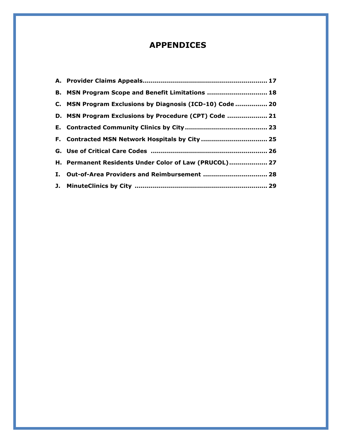## **APPENDICES**

| B. MSN Program Scope and Benefit Limitations  18         |
|----------------------------------------------------------|
| C. MSN Program Exclusions by Diagnosis (ICD-10) Code  20 |
| D. MSN Program Exclusions by Procedure (CPT) Code  21    |
|                                                          |
|                                                          |
|                                                          |
| H. Permanent Residents Under Color of Law (PRUCOL) 27    |
|                                                          |
|                                                          |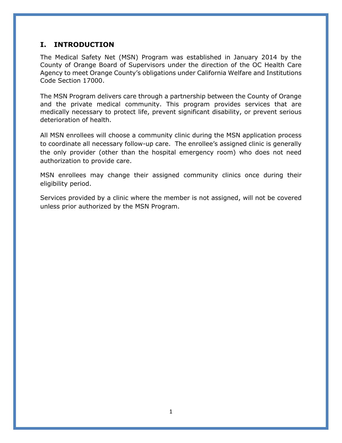## **I. INTRODUCTION**

The Medical Safety Net (MSN) Program was established in January 2014 by the County of Orange Board of Supervisors under the direction of the OC Health Care Agency to meet Orange County's obligations under California Welfare and Institutions Code Section 17000.

The MSN Program delivers care through a partnership between the County of Orange and the private medical community. This program provides services that are medically necessary to protect life, prevent significant disability, or prevent serious deterioration of health.

All MSN enrollees will choose a community clinic during the MSN application process to coordinate all necessary follow-up care. The enrollee's assigned clinic is generally the only provider (other than the hospital emergency room) who does not need authorization to provide care.

MSN enrollees may change their assigned community clinics once during their eligibility period.

Services provided by a clinic where the member is not assigned, will not be covered unless prior authorized by the MSN Program.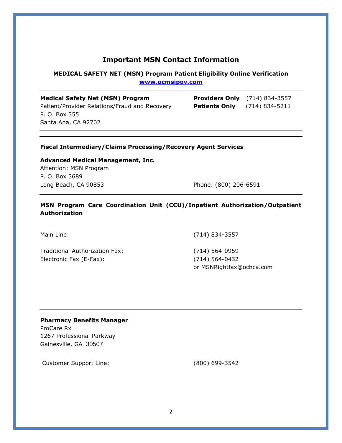## **Important MSN Contact Information**

#### **MEDICAL SAFETY NET (MSN) Program Patient Eligibility Online Verification [www.ocmsipov.com](http://www.ocmsipov.com/)**

**Medical Safety Net (MSN) Program** Patient/Provider Relations/Fraud and Recovery P. O. Box 355 Santa Ana, CA 92702

| <b>Providers Only</b> | $(714)$ 834-3557   |
|-----------------------|--------------------|
| <b>Patients Only</b>  | $(714) 834 - 5211$ |

#### **Fiscal Intermediary/Claims Processing/Recovery Agent Services**

**Advanced Medical Management, Inc.**  Attention: MSN Program P. O. Box 3689 Long Beach, CA 90853 Phone: (800) 206-6591

#### **MSN Program Care Coordination Unit (CCU)/Inpatient Authorization/Outpatient Authorization**

Traditional Authorization Fax: (714) 564-0959 Electronic Fax (E-Fax): (714) 564-0432

Main Line: (714) 834-3557

or MSNRightfax@ochca.com

#### **Pharmacy Benefits Manager**

ProCare Rx 1267 Professional Parkway Gainesville, GA 30507

Customer Support Line: (800) 699-3542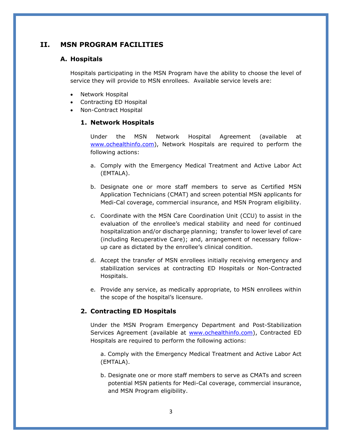## **II. MSN PROGRAM FACILITIES**

#### **A. Hospitals**

Hospitals participating in the MSN Program have the ability to choose the level of service they will provide to MSN enrollees. Available service levels are:

- Network Hospital
- Contracting ED Hospital
- Non-Contract Hospital

#### **1. Network Hospitals**

Under the MSN Network Hospital Agreement (available at [www.ochealthinfo.com\)](http://www.ochealthinfo.com/), Network Hospitals are required to perform the following actions:

- a. Comply with the Emergency Medical Treatment and Active Labor Act (EMTALA).
- b. Designate one or more staff members to serve as Certified MSN Application Technicians (CMAT) and screen potential MSN applicants for Medi-Cal coverage, commercial insurance, and MSN Program eligibility.
- c. Coordinate with the MSN Care Coordination Unit (CCU) to assist in the evaluation of the enrollee's medical stability and need for continued hospitalization and/or discharge planning; transfer to lower level of care (including Recuperative Care); and, arrangement of necessary followup care as dictated by the enrollee's clinical condition.
- d. Accept the transfer of MSN enrollees initially receiving emergency and stabilization services at contracting ED Hospitals or Non-Contracted Hospitals.
- e. Provide any service, as medically appropriate, to MSN enrollees within the scope of the hospital's licensure.

#### **2. Contracting ED Hospitals**

Under the MSN Program Emergency Department and Post-Stabilization Services Agreement (available at [www.ochealthinfo.com\)](http://www.ochealthinfo.com/), Contracted ED Hospitals are required to perform the following actions:

a. Comply with the Emergency Medical Treatment and Active Labor Act (EMTALA).

b. Designate one or more staff members to serve as CMATs and screen potential MSN patients for Medi-Cal coverage, commercial insurance, and MSN Program eligibility.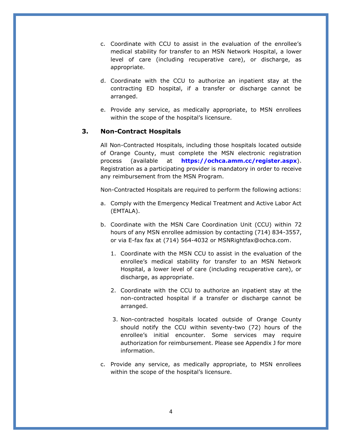- c. Coordinate with CCU to assist in the evaluation of the enrollee's medical stability for transfer to an MSN Network Hospital, a lower level of care (including recuperative care), or discharge, as appropriate.
- d. Coordinate with the CCU to authorize an inpatient stay at the contracting ED hospital, if a transfer or discharge cannot be arranged.
- e. Provide any service, as medically appropriate, to MSN enrollees within the scope of the hospital's licensure.

#### **3. Non-Contract Hospitals**

All Non-Contracted Hospitals, including those hospitals located outside of Orange County, must complete the MSN electronic registration process (available at **https://ochca.amm.cc/register.aspx**). Registration as a participating provider is mandatory in order to receive any reimbursement from the MSN Program.

Non-Contracted Hospitals are required to perform the following actions:

- a. Comply with the Emergency Medical Treatment and Active Labor Act (EMTALA).
- b. Coordinate with the MSN Care Coordination Unit (CCU) within 72 hours of any MSN enrollee admission by contacting (714) 834-3557, or via E-fax fax at (714) 564-4032 or MSNRightfax@ochca.com.
	- 1. Coordinate with the MSN CCU to assist in the evaluation of the enrollee's medical stability for transfer to an MSN Network Hospital, a lower level of care (including recuperative care), or discharge, as appropriate.
	- 2. Coordinate with the CCU to authorize an inpatient stay at the non-contracted hospital if a transfer or discharge cannot be arranged.
	- 3. Non-contracted hospitals located outside of Orange County should notify the CCU within seventy-two (72) hours of the enrollee's initial encounter. Some services may require authorization for reimbursement. Please see Appendix J for more information.
- c. Provide any service, as medically appropriate, to MSN enrollees within the scope of the hospital's licensure.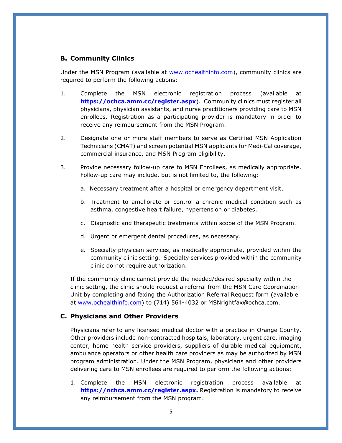#### **B. Community Clinics**

Under the MSN Program (available at [www.ochealthinfo.com\)](http://www.ochealthinfo.com/), community clinics are required to perform the following actions:

- 1. Complete the MSN electronic registration process (available at **<https://ochca.amm.cc/register.aspx>**). Community clinics must register all physicians, physician assistants, and nurse practitioners providing care to MSN enrollees. Registration as a participating provider is mandatory in order to receive any reimbursement from the MSN Program.
- 2. Designate one or more staff members to serve as Certified MSN Application Technicians (CMAT) and screen potential MSN applicants for Medi-Cal coverage, commercial insurance, and MSN Program eligibility.
- 3. Provide necessary follow-up care to MSN Enrollees, as medically appropriate. Follow-up care may include, but is not limited to, the following:
	- a. Necessary treatment after a hospital or emergency department visit.
	- b. Treatment to ameliorate or control a chronic medical condition such as asthma, congestive heart failure, hypertension or diabetes.
	- c. Diagnostic and therapeutic treatments within scope of the MSN Program.
	- d. Urgent or emergent dental procedures, as necessary.
	- e. Specialty physician services, as medically appropriate, provided within the community clinic setting. Specialty services provided within the community clinic do not require authorization.

If the community clinic cannot provide the needed/desired specialty within the clinic setting, the clinic should request a referral from the MSN Care Coordination Unit by completing and faxing the Authorization Referral Request form (available at [www.ochealthinfo.com\)](http://www.ochealthinfo.com/) to (714) 564-4032 or MSNrightfax@ochca.com.

#### **C. Physicians and Other Providers**

Physicians refer to any licensed medical doctor with a practice in Orange County. Other providers include non-contracted hospitals, laboratory, urgent care, imaging center, home health service providers, suppliers of durable medical equipment, ambulance operators or other health care providers as may be authorized by MSN program administration. Under the MSN Program, physicians and other providers delivering care to MSN enrollees are required to perform the following actions:

1. Complete the MSN electronic registration process available at **[https://ochca.amm.cc/register.aspx.](https://ochca.amm.cc/register.aspx)** Registration is mandatory to receive any reimbursement from the MSN program.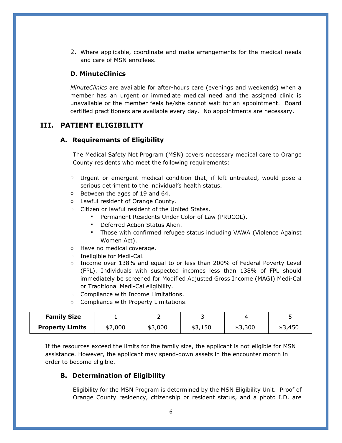2. Where applicable, coordinate and make arrangements for the medical needs and care of MSN enrollees.

#### **D. MinuteClinics**

*MinuteClinics* are available for after-hours care (evenings and weekends) when a member has an urgent or immediate medical need and the assigned clinic is unavailable or the member feels he/she cannot wait for an appointment. Board certified practitioners are available every day. No appointments are necessary.

## **III. PATIENT ELIGIBILITY**

#### **A. Requirements of Eligibility**

The Medical Safety Net Program (MSN) covers necessary medical care to Orange County residents who meet the following requirements:

- $\circ$  Urgent or emergent medical condition that, if left untreated, would pose a serious detriment to the individual's health status.
- o Between the ages of 19 and 64.
- o Lawful resident of Orange County.
- o Citizen or lawful resident of the United States.
	- Permanent Residents Under Color of Law (PRUCOL).
	- Deferred Action Status Alien.
	- Those with confirmed refugee status including VAWA (Violence Against Women Act).
- o Have no medical coverage.
- o Ineligible for Medi-Cal.
- $\circ$  Income over 138% and equal to or less than 200% of Federal Poverty Level (FPL). Individuals with suspected incomes less than 138% of FPL should immediately be screened for Modified Adjusted Gross Income (MAGI) Medi-Cal or Traditional Medi-Cal eligibility.
- o Compliance with Income Limitations.
- o Compliance with Property Limitations.

| <b>Family Size</b>     |         |         |         |         |         |
|------------------------|---------|---------|---------|---------|---------|
| <b>Property Limits</b> | \$2,000 | \$3,000 | \$3,150 | \$3,300 | \$3,450 |

If the resources exceed the limits for the family size, the applicant is not eligible for MSN assistance. However, the applicant may spend-down assets in the encounter month in order to become eligible.

#### **B. Determination of Eligibility**

Eligibility for the MSN Program is determined by the MSN Eligibility Unit. Proof of Orange County residency, citizenship or resident status, and a photo I.D. are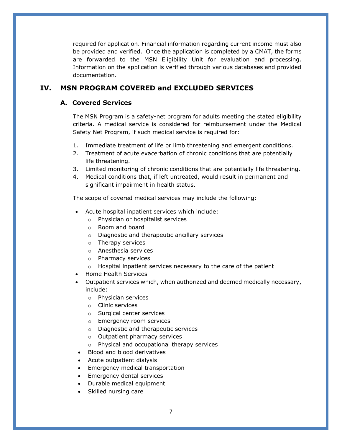required for application. Financial information regarding current income must also be provided and verified. Once the application is completed by a CMAT, the forms are forwarded to the MSN Eligibility Unit for evaluation and processing. Information on the application is verified through various databases and provided documentation.

## **IV. MSN PROGRAM COVERED and EXCLUDED SERVICES**

## **A. Covered Services**

The MSN Program is a safety-net program for adults meeting the stated eligibility criteria. A medical service is considered for reimbursement under the Medical Safety Net Program, if such medical service is required for:

- 1. Immediate treatment of life or limb threatening and emergent conditions.
- 2. Treatment of acute exacerbation of chronic conditions that are potentially life threatening.
- 3. Limited monitoring of chronic conditions that are potentially life threatening.
- 4. Medical conditions that, if left untreated, would result in permanent and significant impairment in health status.

The scope of covered medical services may include the following:

- Acute hospital inpatient services which include:
	- o Physician or hospitalist services
	- o Room and board
	- o Diagnostic and therapeutic ancillary services
	- o Therapy services
	- o Anesthesia services
	- o Pharmacy services
	- o Hospital inpatient services necessary to the care of the patient
- Home Health Services
- Outpatient services which, when authorized and deemed medically necessary, include:
	- o Physician services
	- o Clinic services
	- o Surgical center services
	- o Emergency room services
	- o Diagnostic and therapeutic services
	- o Outpatient pharmacy services
	- o Physical and occupational therapy services
- Blood and blood derivatives
- Acute outpatient dialysis
- Emergency medical transportation
- Emergency dental services
- Durable medical equipment
- Skilled nursing care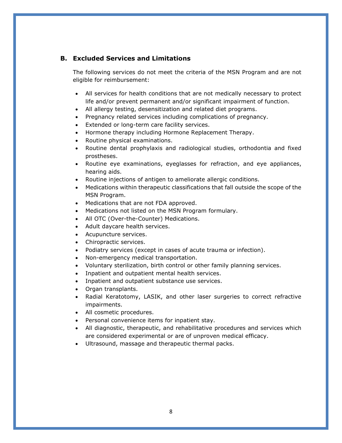#### **B. Excluded Services and Limitations**

The following services do not meet the criteria of the MSN Program and are not eligible for reimbursement:

- All services for health conditions that are not medically necessary to protect life and/or prevent permanent and/or significant impairment of function.
- All allergy testing, desensitization and related diet programs.
- Pregnancy related services including complications of pregnancy.
- Extended or long-term care facility services.
- Hormone therapy including Hormone Replacement Therapy.
- Routine physical examinations.
- Routine dental prophylaxis and radiological studies, orthodontia and fixed prostheses.
- Routine eye examinations, eyeglasses for refraction, and eye appliances, hearing aids.
- Routine injections of antigen to ameliorate allergic conditions.
- Medications within therapeutic classifications that fall outside the scope of the MSN Program.
- Medications that are not FDA approved.
- Medications not listed on the MSN Program formulary.
- All OTC (Over-the-Counter) Medications.
- Adult daycare health services.
- Acupuncture services.
- Chiropractic services.
- Podiatry services (except in cases of acute trauma or infection).
- Non-emergency medical transportation.
- Voluntary sterilization, birth control or other family planning services.
- Inpatient and outpatient mental health services.
- Inpatient and outpatient substance use services.
- Organ transplants.
- Radial Keratotomy, LASIK, and other laser surgeries to correct refractive impairments.
- All cosmetic procedures.
- Personal convenience items for inpatient stay.
- All diagnostic, therapeutic, and rehabilitative procedures and services which are considered experimental or are of unproven medical efficacy.
- Ultrasound, massage and therapeutic thermal packs.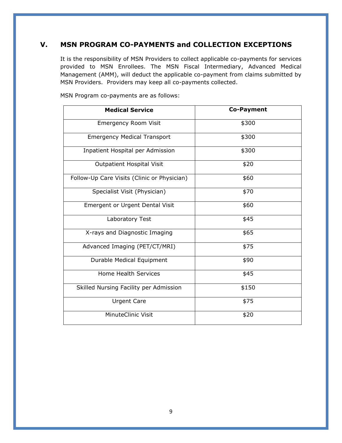## **V. MSN PROGRAM CO-PAYMENTS and COLLECTION EXCEPTIONS**

It is the responsibility of MSN Providers to collect applicable co-payments for services provided to MSN Enrollees. The MSN Fiscal Intermediary, Advanced Medical Management (AMM), will deduct the applicable co-payment from claims submitted by MSN Providers. Providers may keep all co-payments collected.

| <b>Medical Service</b>                      | <b>Co-Payment</b> |
|---------------------------------------------|-------------------|
| <b>Emergency Room Visit</b>                 | \$300             |
| <b>Emergency Medical Transport</b>          | \$300             |
| Inpatient Hospital per Admission            | \$300             |
| Outpatient Hospital Visit                   | \$20              |
| Follow-Up Care Visits (Clinic or Physician) | \$60              |
| Specialist Visit (Physician)                | \$70              |
| <b>Emergent or Urgent Dental Visit</b>      | \$60              |
| Laboratory Test                             | \$45              |
| X-rays and Diagnostic Imaging               | \$65              |
| Advanced Imaging (PET/CT/MRI)               | \$75              |
| Durable Medical Equipment                   | \$90              |
| <b>Home Health Services</b>                 | \$45              |
| Skilled Nursing Facility per Admission      | \$150             |
| <b>Urgent Care</b>                          | \$75              |
| MinuteClinic Visit                          | \$20              |

MSN Program co-payments are as follows: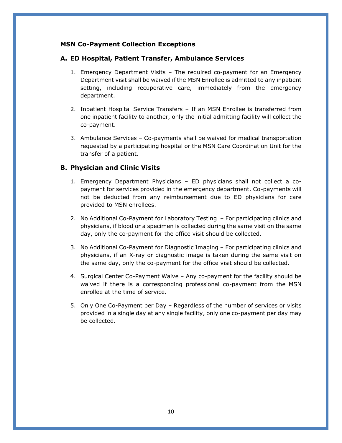#### **MSN Co-Payment Collection Exceptions**

#### **A. ED Hospital, Patient Transfer, Ambulance Services**

- 1. Emergency Department Visits The required co-payment for an Emergency Department visit shall be waived if the MSN Enrollee is admitted to any inpatient setting, including recuperative care, immediately from the emergency department.
- 2. Inpatient Hospital Service Transfers If an MSN Enrollee is transferred from one inpatient facility to another, only the initial admitting facility will collect the co-payment.
- 3. Ambulance Services Co-payments shall be waived for medical transportation requested by a participating hospital or the MSN Care Coordination Unit for the transfer of a patient.

#### **B. Physician and Clinic Visits**

- 1. Emergency Department Physicians ED physicians shall not collect a copayment for services provided in the emergency department. Co-payments will not be deducted from any reimbursement due to ED physicians for care provided to MSN enrollees.
- 2. No Additional Co-Payment for Laboratory Testing For participating clinics and physicians, if blood or a specimen is collected during the same visit on the same day, only the co-payment for the office visit should be collected.
- 3. No Additional Co-Payment for Diagnostic Imaging For participating clinics and physicians, if an X-ray or diagnostic image is taken during the same visit on the same day, only the co-payment for the office visit should be collected.
- 4. Surgical Center Co-Payment Waive Any co-payment for the facility should be waived if there is a corresponding professional co-payment from the MSN enrollee at the time of service.
- 5. Only One Co-Payment per Day Regardless of the number of services or visits provided in a single day at any single facility, only one co-payment per day may be collected.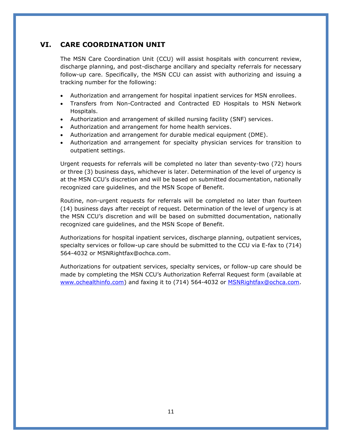## **VI. CARE COORDINATION UNIT**

The MSN Care Coordination Unit (CCU) will assist hospitals with concurrent review, discharge planning, and post-discharge ancillary and specialty referrals for necessary follow-up care. Specifically, the MSN CCU can assist with authorizing and issuing a tracking number for the following:

- Authorization and arrangement for hospital inpatient services for MSN enrollees.
- Transfers from Non-Contracted and Contracted ED Hospitals to MSN Network Hospitals.
- Authorization and arrangement of skilled nursing facility (SNF) services.
- Authorization and arrangement for home health services.
- Authorization and arrangement for durable medical equipment (DME).
- Authorization and arrangement for specialty physician services for transition to outpatient settings.

Urgent requests for referrals will be completed no later than seventy-two (72) hours or three (3) business days, whichever is later. Determination of the level of urgency is at the MSN CCU's discretion and will be based on submitted documentation, nationally recognized care guidelines, and the MSN Scope of Benefit.

Routine, non-urgent requests for referrals will be completed no later than fourteen (14) business days after receipt of request. Determination of the level of urgency is at the MSN CCU's discretion and will be based on submitted documentation, nationally recognized care guidelines, and the MSN Scope of Benefit.

Authorizations for hospital inpatient services, discharge planning, outpatient services, specialty services or follow-up care should be submitted to the CCU via E-fax to (714) 564-4032 or MSNRightfax@ochca.com.

Authorizations for outpatient services, specialty services, or follow-up care should be made by completing the MSN CCU's Authorization Referral Request form (available at [www.ochealthinfo.com\)](http://www.ochealthinfo.com/) and faxing it to (714) 564-4032 or **MSNRightfax@ochca.com**.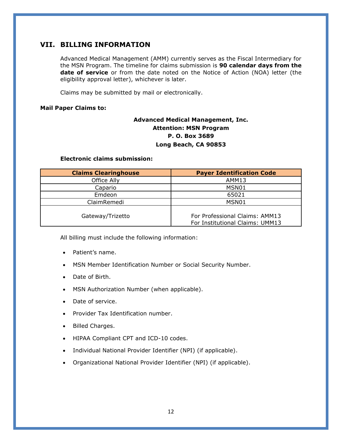## **VII. BILLING INFORMATION**

Advanced Medical Management (AMM) currently serves as the Fiscal Intermediary for the MSN Program. The timeline for claims submission is **90 calendar days from the date of service** or from the date noted on the Notice of Action (NOA) letter (the eligibility approval letter), whichever is later.

Claims may be submitted by mail or electronically.

#### **Mail Paper Claims to:**

## **Advanced Medical Management, Inc. Attention: MSN Program P. O. Box 3689 Long Beach, CA 90853**

#### **Electronic claims submission:**

| <b>Claims Clearinghouse</b> | <b>Payer Identification Code</b>                                  |
|-----------------------------|-------------------------------------------------------------------|
| Office Ally                 | AMM13                                                             |
| Capario                     | MSN01                                                             |
| Emdeon                      | 65021                                                             |
| ClaimRemedi                 | MSN01                                                             |
| Gateway/Trizetto            | For Professional Claims: AMM13<br>For Institutional Claims: UMM13 |

All billing must include the following information:

- Patient's name.
- MSN Member Identification Number or Social Security Number.
- Date of Birth.
- MSN Authorization Number (when applicable).
- Date of service.
- Provider Tax Identification number.
- Billed Charges.
- HIPAA Compliant CPT and ICD-10 codes.
- Individual National Provider Identifier (NPI) (if applicable).
- Organizational National Provider Identifier (NPI) (if applicable).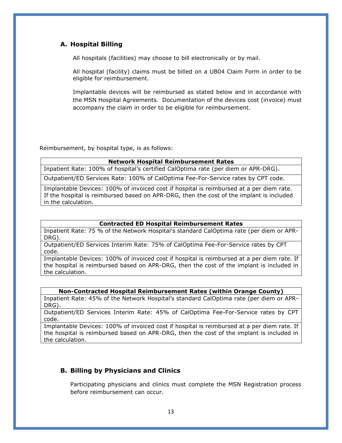#### **A. Hospital Billing**

All hospitals (facilities) may choose to bill electronically or by mail.

All hospital (facility) claims must be billed on a UB04 Claim Form in order to be eligible for reimbursement.

Implantable devices will be reimbursed as stated below and in accordance with the MSN Hospital Agreements. Documentation of the devices cost (invoice) must accompany the claim in order to be eligible for reimbursement.

Reimbursement, by hospital type, is as follows:

#### **Network Hospital Reimbursement Rates**

Inpatient Rate: 100% of hospital's certified CalOptima rate (per diem or APR-DRG).

Outpatient/ED Services Rate: 100% of CalOptima Fee-For-Service rates by CPT code.

Implantable Devices: 100% of invoiced cost if hospital is reimbursed at a per diem rate. If the hospital is reimbursed based on APR-DRG, then the cost of the implant is included in the calculation.

#### **Contracted ED Hospital Reimbursement Rates**

Inpatient Rate: 75 % of the Network Hospital's standard CalOptima rate (per diem or APR-DRG).

Outpatient/ED Services Interim Rate: 75% of CalOptima Fee-For-Service rates by CPT code.

Implantable Devices: 100% of invoiced cost if hospital is reimbursed at a per diem rate. If the hospital is reimbursed based on APR-DRG, then the cost of the implant is included in the calculation.

#### **Non-Contracted Hospital Reimbursement Rates (within Orange County)**

Inpatient Rate: 45% of the Network Hospital's standard CalOptima rate (per diem or APR-DRG).

Outpatient/ED Services Interim Rate: 45% of CalOptima Fee-For-Service rates by CPT code.

Implantable Devices: 100% of invoiced cost if hospital is reimbursed at a per diem rate. If the hospital is reimbursed based on APR-DRG, then the cost of the implant is included in the calculation.

#### **B. Billing by Physicians and Clinics**

Participating physicians and clinics must complete the MSN Registration process before reimbursement can occur.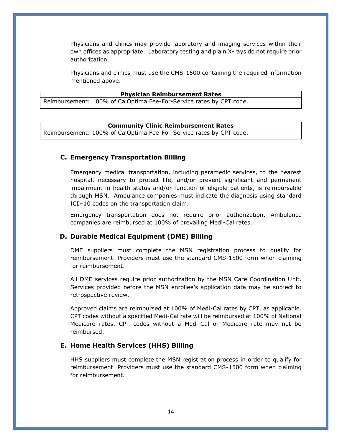Physicians and clinics may provide laboratory and imaging services within their own offices as appropriate. Laboratory testing and plain X-rays do not require prior authorization.

Physicians and clinics must use the CMS-1500 containing the required information mentioned above.

#### **Physician Reimbursement Rates**

Reimbursement: 100% of CalOptima Fee-For-Service rates by CPT code.

#### **Community Clinic Reimbursement Rates**

Reimbursement: 100% of CalOptima Fee-For-Service rates by CPT code.

#### **C. Emergency Transportation Billing**

Emergency medical transportation, including paramedic services, to the nearest hospital, necessary to protect life, and/or prevent significant and permanent impairment in health status and/or function of eligible patients, is reimbursable through MSN. Ambulance companies must indicate the diagnosis using standard ICD-10 codes on the transportation claim.

Emergency transportation does not require prior authorization. Ambulance companies are reimbursed at 100% of prevailing Medi-Cal rates.

#### **D. Durable Medical Equipment (DME) Billing**

DME suppliers must complete the MSN registration process to qualify for reimbursement. Providers must use the standard CMS-1500 form when claiming for reimbursement.

All DME services require prior authorization by the MSN Care Coordination Unit. Services provided before the MSN enrollee's application data may be subject to retrospective review.

Approved claims are reimbursed at 100% of Medi-Cal rates by CPT, as applicable. CPT codes without a specified Medi-Cal rate will be reimbursed at 100% of National Medicare rates. CPT codes without a Medi-Cal or Medicare rate may not be reimbursed.

#### **E. Home Health Services (HHS) Billing**

HHS suppliers must complete the MSN registration process in order to qualify for reimbursement. Providers must use the standard CMS-1500 form when claiming for reimbursement.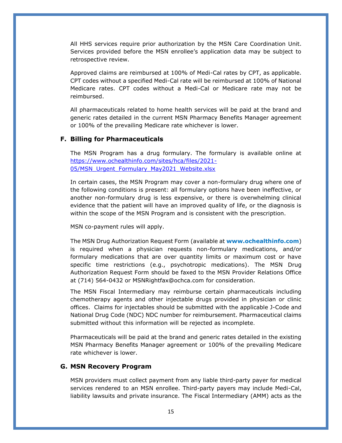All HHS services require prior authorization by the MSN Care Coordination Unit. Services provided before the MSN enrollee's application data may be subject to retrospective review.

Approved claims are reimbursed at 100% of Medi-Cal rates by CPT, as applicable. CPT codes without a specified Medi-Cal rate will be reimbursed at 100% of National Medicare rates. CPT codes without a Medi-Cal or Medicare rate may not be reimbursed.

All pharmaceuticals related to home health services will be paid at the brand and generic rates detailed in the current MSN Pharmacy Benefits Manager agreement or 100% of the prevailing Medicare rate whichever is lower.

#### **F. Billing for Pharmaceuticals**

The MSN Program has a drug formulary. The formulary is available online at [https://www.ochealthinfo.com/sites/hca/files/2021-](https://www.ochealthinfo.com/sites/hca/files/2021-05/MSN_Urgent_Formulary_May2021_Website.xlsx) 05/MSN Urgent Formulary May2021 Website.xlsx

In certain cases, the MSN Program may cover a non-formulary drug where one of the following conditions is present: all formulary options have been ineffective, or another non-formulary drug is less expensive, or there is overwhelming clinical evidence that the patient will have an improved quality of life, or the diagnosis is within the scope of the MSN Program and is consistent with the prescription.

MSN co-payment rules will apply.

The MSN Drug Authorization Request Form (available at **www.ochealthinfo.com**) is required when a physician requests non-formulary medications, and/or formulary medications that are over quantity limits or maximum cost or have specific time restrictions (e.g., psychotropic medications). The MSN Drug Authorization Request Form should be faxed to the MSN Provider Relations Office at (714) 564-0432 or MSNRightfax@ochca.com for consideration.

The MSN Fiscal Intermediary may reimburse certain pharmaceuticals including chemotherapy agents and other injectable drugs provided in physician or clinic offices. Claims for injectables should be submitted with the applicable J-Code and National Drug Code (NDC) NDC number for reimbursement. Pharmaceutical claims submitted without this information will be rejected as incomplete.

Pharmaceuticals will be paid at the brand and generic rates detailed in the existing MSN Pharmacy Benefits Manager agreement or 100% of the prevailing Medicare rate whichever is lower.

#### **G. MSN Recovery Program**

MSN providers must collect payment from any liable third-party payer for medical services rendered to an MSN enrollee. Third-party payers may include Medi-Cal, liability lawsuits and private insurance. The Fiscal Intermediary (AMM) acts as the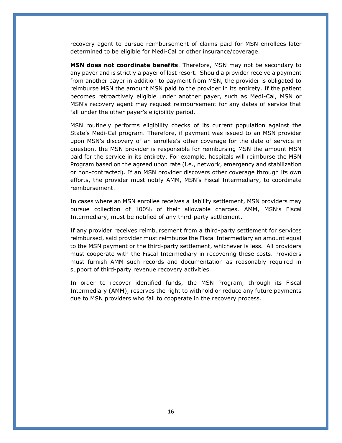recovery agent to pursue reimbursement of claims paid for MSN enrollees later determined to be eligible for Medi-Cal or other insurance/coverage.

**MSN does not coordinate benefits**. Therefore, MSN may not be secondary to any payer and is strictly a payer of last resort. Should a provider receive a payment from another payer in addition to payment from MSN, the provider is obligated to reimburse MSN the amount MSN paid to the provider in its entirety. If the patient becomes retroactively eligible under another payer, such as Medi-Cal, MSN or MSN's recovery agent may request reimbursement for any dates of service that fall under the other payer's eligibility period.

MSN routinely performs eligibility checks of its current population against the State's Medi-Cal program. Therefore, if payment was issued to an MSN provider upon MSN's discovery of an enrollee's other coverage for the date of service in question, the MSN provider is responsible for reimbursing MSN the amount MSN paid for the service in its entirety. For example, hospitals will reimburse the MSN Program based on the agreed upon rate (i.e., network, emergency and stabilization or non-contracted). If an MSN provider discovers other coverage through its own efforts, the provider must notify AMM, MSN's Fiscal Intermediary, to coordinate reimbursement.

In cases where an MSN enrollee receives a liability settlement, MSN providers may pursue collection of 100% of their allowable charges. AMM, MSN's Fiscal Intermediary, must be notified of any third-party settlement.

If any provider receives reimbursement from a third-party settlement for services reimbursed, said provider must reimburse the Fiscal Intermediary an amount equal to the MSN payment or the third-party settlement, whichever is less. All providers must cooperate with the Fiscal Intermediary in recovering these costs. Providers must furnish AMM such records and documentation as reasonably required in support of third-party revenue recovery activities.

In order to recover identified funds, the MSN Program, through its Fiscal Intermediary (AMM), reserves the right to withhold or reduce any future payments due to MSN providers who fail to cooperate in the recovery process.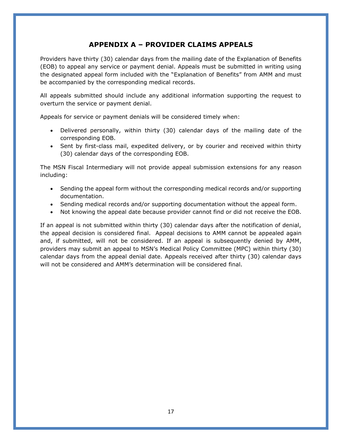## **APPENDIX A – PROVIDER CLAIMS APPEALS**

Providers have thirty (30) calendar days from the mailing date of the Explanation of Benefits (EOB) to appeal any service or payment denial. Appeals must be submitted in writing using the designated appeal form included with the "Explanation of Benefits" from AMM and must be accompanied by the corresponding medical records.

All appeals submitted should include any additional information supporting the request to overturn the service or payment denial.

Appeals for service or payment denials will be considered timely when:

- Delivered personally, within thirty (30) calendar days of the mailing date of the corresponding EOB.
- Sent by first-class mail, expedited delivery, or by courier and received within thirty (30) calendar days of the corresponding EOB.

The MSN Fiscal Intermediary will not provide appeal submission extensions for any reason including:

- Sending the appeal form without the corresponding medical records and/or supporting documentation.
- Sending medical records and/or supporting documentation without the appeal form.
- Not knowing the appeal date because provider cannot find or did not receive the EOB.

If an appeal is not submitted within thirty (30) calendar days after the notification of denial, the appeal decision is considered final. Appeal decisions to AMM cannot be appealed again and, if submitted, will not be considered. If an appeal is subsequently denied by AMM, providers may submit an appeal to MSN's Medical Policy Committee (MPC) within thirty (30) calendar days from the appeal denial date. Appeals received after thirty (30) calendar days will not be considered and AMM's determination will be considered final.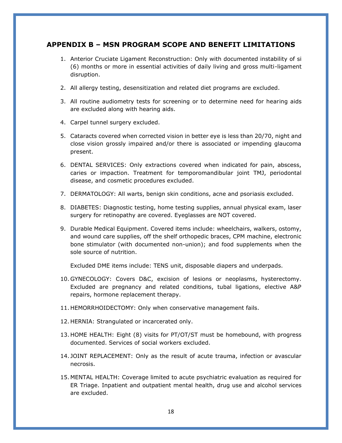#### **APPENDIX B – MSN PROGRAM SCOPE AND BENEFIT LIMITATIONS**

- 1. Anterior Cruciate Ligament Reconstruction: Only with documented instability of si (6) months or more in essential activities of daily living and gross multi-ligament disruption.
- 2. All allergy testing, desensitization and related diet programs are excluded.
- 3. All routine audiometry tests for screening or to determine need for hearing aids are excluded along with hearing aids.
- 4. Carpel tunnel surgery excluded.
- 5. Cataracts covered when corrected vision in better eye is less than 20/70, night and close vision grossly impaired and/or there is associated or impending glaucoma present.
- 6. DENTAL SERVICES: Only extractions covered when indicated for pain, abscess, caries or impaction. Treatment for temporomandibular joint TMJ, periodontal disease, and cosmetic procedures excluded.
- 7. DERMATOLOGY: All warts, benign skin conditions, acne and psoriasis excluded.
- 8. DIABETES: Diagnostic testing, home testing supplies, annual physical exam, laser surgery for retinopathy are covered. Eyeglasses are NOT covered.
- 9. Durable Medical Equipment. Covered items include: wheelchairs, walkers, ostomy, and wound care supplies, off the shelf orthopedic braces, CPM machine, electronic bone stimulator (with documented non-union); and food supplements when the sole source of nutrition.

Excluded DME items include: TENS unit, disposable diapers and underpads.

- 10. GYNECOLOGY: Covers D&C, excision of lesions or neoplasms, hysterectomy. Excluded are pregnancy and related conditions, tubal ligations, elective A&P repairs, hormone replacement therapy.
- 11. HEMORRHOIDECTOMY: Only when conservative management fails.
- 12. HERNIA: Strangulated or incarcerated only.
- 13. HOME HEALTH: Eight (8) visits for PT/OT/ST must be homebound, with progress documented. Services of social workers excluded.
- 14. JOINT REPLACEMENT: Only as the result of acute trauma, infection or avascular necrosis.
- 15. MENTAL HEALTH: Coverage limited to acute psychiatric evaluation as required for ER Triage. Inpatient and outpatient mental health, drug use and alcohol services are excluded.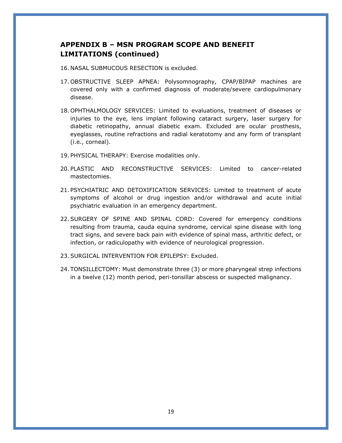## **APPENDIX B – MSN PROGRAM SCOPE AND BENEFIT LIMITATIONS (continued)**

- 16. NASAL SUBMUCOUS RESECTION is excluded.
- 17. OBSTRUCTIVE SLEEP APNEA: Polysomnography, CPAP/BIPAP machines are covered only with a confirmed diagnosis of moderate/severe cardiopulmonary disease.
- 18. OPHTHALMOLOGY SERVICES: Limited to evaluations, treatment of diseases or injuries to the eye, lens implant following cataract surgery, laser surgery for diabetic retinopathy, annual diabetic exam. Excluded are ocular prosthesis, eyeglasses, routine refractions and radial keratotomy and any form of transplant (i.e., corneal).
- 19. PHYSICAL THERAPY: Exercise modalities only.
- 20. PLASTIC AND RECONSTRUCTIVE SERVICES: Limited to cancer-related mastectomies.
- 21. PSYCHIATRIC AND DETOXIFICATION SERVICES: Limited to treatment of acute symptoms of alcohol or drug ingestion and/or withdrawal and acute initial psychiatric evaluation in an emergency department.
- 22.SURGERY OF SPINE AND SPINAL CORD: Covered for emergency conditions resulting from trauma, cauda equina syndrome, cervical spine disease with long tract signs, and severe back pain with evidence of spinal mass, arthritic defect, or infection, or radiculopathy with evidence of neurological progression.
- 23.SURGICAL INTERVENTION FOR EPILEPSY: Excluded.
- 24. TONSILLECTOMY: Must demonstrate three (3) or more pharyngeal strep infections in a twelve (12) month period, peri-tonsillar abscess or suspected malignancy.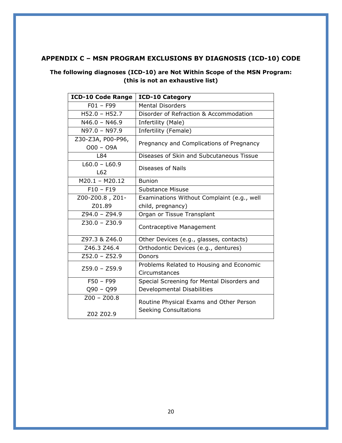## **APPENDIX C – MSN PROGRAM EXCLUSIONS BY DIAGNOSIS (ICD-10) CODE**

## **The following diagnoses (ICD-10) are Not Within Scope of the MSN Program: (this is not an exhaustive list)**

| <b>ICD-10 Code Range</b>         | <b>ICD-10 Category</b>                     |  |
|----------------------------------|--------------------------------------------|--|
| $F01 - F99$                      | <b>Mental Disorders</b>                    |  |
| $H52.0 - H52.7$                  | Disorder of Refraction & Accommodation     |  |
| $N46.0 - N46.9$                  | Infertility (Male)                         |  |
| N97.0 - N97.9                    | Infertility (Female)                       |  |
| Z30-Z3A, P00-P96,<br>$000 - 09A$ | Pregnancy and Complications of Pregnancy   |  |
| L84                              | Diseases of Skin and Subcutaneous Tissue   |  |
| $L60.0 - L60.9$<br>L62           | Diseases of Nails                          |  |
| $M20.1 - M20.12$                 | <b>Bunion</b>                              |  |
| $F10 - F19$                      | Substance Misuse                           |  |
| Z00-Z00.8, Z01-                  | Examinations Without Complaint (e.g., well |  |
| Z01.89                           | child, pregnancy)                          |  |
| $Z94.0 - Z94.9$                  | Organ or Tissue Transplant                 |  |
| $Z30.0 - Z30.9$                  | Contraceptive Management                   |  |
| Z97.3 & Z46.0                    | Other Devices (e.g., glasses, contacts)    |  |
| Z46.3 Z46.4                      | Orthodontic Devices (e.g., dentures)       |  |
| $Z52.0 - Z52.9$                  | Donors                                     |  |
| $Z59.0 - Z59.9$                  | Problems Related to Housing and Economic   |  |
|                                  | Circumstances                              |  |
| $F50 - F99$                      | Special Screening for Mental Disorders and |  |
| $Q90 - Q99$                      | Developmental Disabilities                 |  |
| $Z00 - Z00.8$                    | Routine Physical Exams and Other Person    |  |
| Z02 Z02.9                        | <b>Seeking Consultations</b>               |  |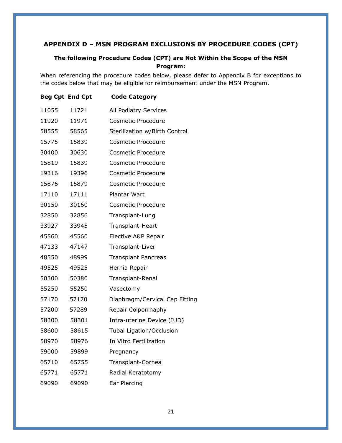## **APPENDIX D – MSN PROGRAM EXCLUSIONS BY PROCEDURE CODES (CPT)**

#### **The following Procedure Codes (CPT) are Not Within the Scope of the MSN Program:**

When referencing the procedure codes below, please defer to Appendix B for exceptions to the codes below that may be eligible for reimbursement under the MSN Program.

|       | <b>Beg Cpt End Cpt</b> | <b>Code Category</b>           |
|-------|------------------------|--------------------------------|
| 11055 | 11721                  | All Podiatry Services          |
| 11920 | 11971                  | <b>Cosmetic Procedure</b>      |
| 58555 | 58565                  | Sterilization w/Birth Control  |
| 15775 | 15839                  | <b>Cosmetic Procedure</b>      |
| 30400 | 30630                  | <b>Cosmetic Procedure</b>      |
| 15819 | 15839                  | <b>Cosmetic Procedure</b>      |
| 19316 | 19396                  | <b>Cosmetic Procedure</b>      |
| 15876 | 15879                  | Cosmetic Procedure             |
| 17110 | 17111                  | <b>Plantar Wart</b>            |
| 30150 | 30160                  | <b>Cosmetic Procedure</b>      |
| 32850 | 32856                  | Transplant-Lung                |
| 33927 | 33945                  | Transplant-Heart               |
| 45560 | 45560                  | Elective A&P Repair            |
| 47133 | 47147                  | Transplant-Liver               |
| 48550 | 48999                  | <b>Transplant Pancreas</b>     |
| 49525 | 49525                  | Hernia Repair                  |
| 50300 | 50380                  | Transplant-Renal               |
| 55250 | 55250                  | Vasectomy                      |
| 57170 | 57170                  | Diaphragm/Cervical Cap Fitting |
| 57200 | 57289                  | Repair Colporrhaphy            |
| 58300 | 58301                  | Intra-uterine Device (IUD)     |
| 58600 | 58615                  | Tubal Ligation/Occlusion       |
| 58970 | 58976                  | In Vitro Fertilization         |
| 59000 | 59899                  | Pregnancy                      |
| 65710 | 65755                  | Transplant-Cornea              |
| 65771 | 65771                  | Radial Keratotomy              |
| 69090 | 69090                  | Ear Piercing                   |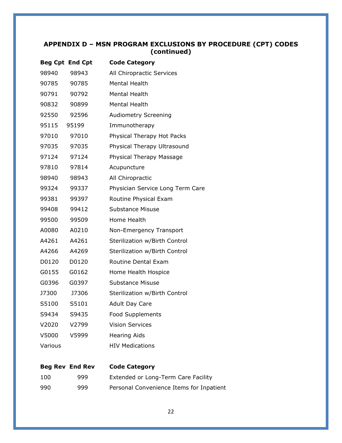## **APPENDIX D – MSN PROGRAM EXCLUSIONS BY PROCEDURE (CPT) CODES (continued)**

|         | <b>Beg Cpt End Cpt</b> | <b>Code Category</b>             |
|---------|------------------------|----------------------------------|
| 98940   | 98943                  | All Chiropractic Services        |
| 90785   | 90785                  | <b>Mental Health</b>             |
| 90791   | 90792                  | <b>Mental Health</b>             |
| 90832   | 90899                  | <b>Mental Health</b>             |
| 92550   | 92596                  | <b>Audiometry Screening</b>      |
| 95115   | 95199                  | Immunotherapy                    |
| 97010   | 97010                  | Physical Therapy Hot Packs       |
| 97035   | 97035                  | Physical Therapy Ultrasound      |
| 97124   | 97124                  | Physical Therapy Massage         |
| 97810   | 97814                  | Acupuncture                      |
| 98940   | 98943                  | All Chiropractic                 |
| 99324   | 99337                  | Physician Service Long Term Care |
| 99381   | 99397                  | Routine Physical Exam            |
| 99408   | 99412                  | <b>Substance Misuse</b>          |
| 99500   | 99509                  | Home Health                      |
| A0080   | A0210                  | Non-Emergency Transport          |
| A4261   | A4261                  | Sterilization w/Birth Control    |
| A4266   | A4269                  | Sterilization w/Birth Control    |
| D0120   | D0120                  | Routine Dental Exam              |
| G0155   | G0162                  | Home Health Hospice              |
| G0396   | G0397                  | Substance Misuse                 |
| J7300   | J7306                  | Sterilization w/Birth Control    |
| S5100   | S5101                  | <b>Adult Day Care</b>            |
| S9434   | S9435                  | <b>Food Supplements</b>          |
| V2020   | V2799                  | <b>Vision Services</b>           |
| V5000   | V5999                  | <b>Hearing Aids</b>              |
| Various |                        | <b>HIV Medications</b>           |

## **Beg Rev End Rev Code Category**

| 100 | 999. | Extended or Long-Term Care Facility      |
|-----|------|------------------------------------------|
| 990 | 999  | Personal Convenience Items for Inpatient |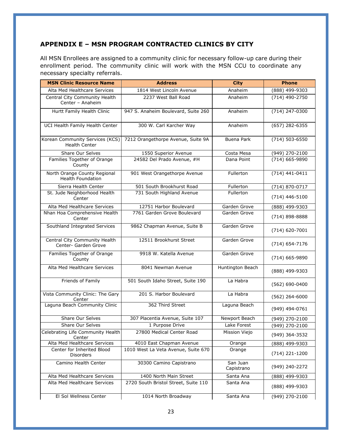### **APPENDIX E – MSN PROGRAM CONTRACTED CLINICS BY CITY**

All MSN Enrollees are assigned to a community clinic for necessary follow-up care during their enrollment period. The community clinic will work with the MSN CCU to coordinate any necessary specialty referrals.

| <b>MSN Clinic Resource Name</b>                          | <b>Address</b>                       | <b>City</b>            | <b>Phone</b>       |
|----------------------------------------------------------|--------------------------------------|------------------------|--------------------|
| Alta Med Healthcare Services                             | 1814 West Lincoln Avenue             | Anaheim                | (888) 499-9303     |
| Central City Community Health<br>Center - Anaheim        | 2237 West Ball Road                  | Anaheim                | (714) 490-2750     |
| Hurtt Family Health Clinic                               | 947 S. Anaheim Boulevard, Suite 260  | Anaheim                | $(714)$ 247-0300   |
| UCI Health Family Health Center                          | 300 W. Carl Karcher Way              | Anaheim                | (657) 282-6355     |
| Korean Community Services (KCS)<br><b>Health Center</b>  | 7212 Orangethorpe Avenue, Suite 9A   | <b>Buena Park</b>      | (714) 503-6550     |
| Share Our Selves                                         | 1550 Superior Avenue                 | Costa Mesa             | $(949)$ 270-2100   |
| Families Together of Orange<br>County                    | 24582 Del Prado Avenue, #H           | Dana Point             | (714) 665-9890     |
| North Orange County Regional<br><b>Health Foundation</b> | 901 West Orangethorpe Avenue         | Fullerton              | $(714)$ 441-0411   |
| Sierra Health Center                                     | 501 South Brookhurst Road            | Fullerton              | (714) 870-0717     |
| St. Jude Neighborhood Health<br>Center                   | 731 South Highland Avenue            | Fullerton              | $(714)$ 446-5100   |
| Alta Med Healthcare Services                             | 12751 Harbor Boulevard               | Garden Grove           | (888) 499-9303     |
| Nhan Hoa Comprehensive Health<br>Center                  | 7761 Garden Grove Boulevard          | Garden Grove           | (714) 898-8888     |
| Southland Integrated Services                            | 9862 Chapman Avenue, Suite B         | Garden Grove           | $(714) 620 - 7001$ |
| Central City Community Health<br>Center- Garden Grove    | 12511 Brookhurst Street              | Garden Grove           | $(714) 654 - 7176$ |
| Families Together of Orange<br>County                    | 9918 W. Katella Avenue               | Garden Grove           | (714) 665-9890     |
| Alta Med Healthcare Services                             | 8041 Newman Avenue                   | Huntington Beach       | (888) 499-9303     |
| Friends of Family                                        | 501 South Idaho Street, Suite 190    | La Habra               | (562) 690-0400     |
| Vista Community Clinic: The Gary<br>Center               | 201 S. Harbor Boulevard              | La Habra               | $(562)$ 264-6000   |
| Laguna Beach Community Clinic                            | 362 Third Street                     | Laguna Beach           | (949) 494-0761     |
| <b>Share Our Selves</b>                                  | 307 Placentia Avenue, Suite 107      | Newport Beach          | (949) 270-2100     |
| Share Our Selves                                         | 1 Purpose Drive                      | Lake Forest            | (949) 270-2100     |
| Celebrating Life Community Health<br>Center              | 27800 Medical Center Road            | Mission Viejo          | (949) 364-3532     |
| Alta Med Healthcare Services                             | 4010 East Chapman Avenue             | Orange                 | (888) 499-9303     |
| Center for Inherited Blood<br><b>Disorders</b>           | 1010 West La Veta Avenue, Suite 670  | Orange                 | $(714)$ 221-1200   |
| Camino Health Center                                     | 30300 Camino Capistrano              | San Juan<br>Capistrano | (949) 240-2272     |
| Alta Med Healthcare Services                             | 1400 North Main Street               | Santa Ana              | (888) 499-9303     |
| Alta Med Healthcare Services                             | 2720 South Bristol Street, Suite 110 | Santa Ana              | (888) 499-9303     |
| El Sol Wellness Center                                   | 1014 North Broadway                  | Santa Ana              | (949) 270-2100     |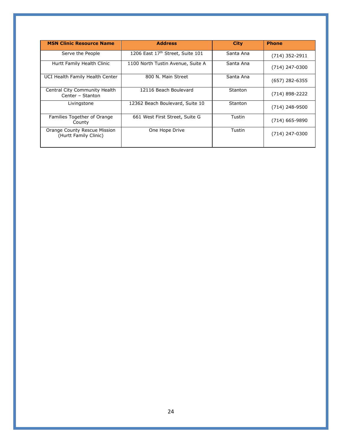| <b>MSN Clinic Resource Name</b>                       | <b>Address</b>                    | <b>City</b> | <b>Phone</b>     |
|-------------------------------------------------------|-----------------------------------|-------------|------------------|
| Serve the People                                      | 1206 East 17th Street, Suite 101  | Santa Ana   | $(714)$ 352-2911 |
| Hurtt Family Health Clinic                            | 1100 North Tustin Avenue, Suite A | Santa Ana   | (714) 247-0300   |
| UCI Health Family Health Center                       | 800 N. Main Street                | Santa Ana   | $(657)$ 282-6355 |
| Central City Community Health<br>Center - Stanton     | 12116 Beach Boulevard             | Stanton     | (714) 898-2222   |
| Livingstone                                           | 12362 Beach Boulevard, Suite 10   | Stanton     | (714) 248-9500   |
| Families Together of Orange<br>County                 | 661 West First Street, Suite G    | Tustin      | $(714)$ 665-9890 |
| Orange County Rescue Mission<br>(Hurtt Family Clinic) | One Hope Drive                    | Tustin      | $(714)$ 247-0300 |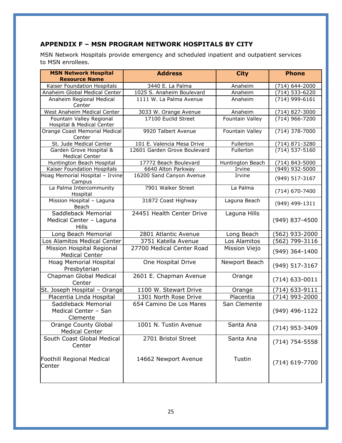## **APPENDIX F – MSN PROGRAM NETWORK HOSPITALS BY CITY**

MSN Network Hospitals provide emergency and scheduled inpatient and outpatient services to MSN enrollees.

| <b>MSN Network Hospital</b><br><b>Resource Name</b>     | <b>Address</b>               | <b>City</b>      | <b>Phone</b>       |
|---------------------------------------------------------|------------------------------|------------------|--------------------|
| Kaiser Foundation Hospitals                             | 3440 E. La Palma             | Anaheim          | (714) 644-2000     |
| Anaheim Global Medical Center                           | 1025 S. Anaheim Boulevard    | Anaheim          | $(714) 533 - 6220$ |
| Anaheim Regional Medical<br>Center                      | 1111 W. La Palma Avenue      | Anaheim          | (714) 999-6161     |
| West Anaheim Medical Center                             | 3033 W. Orange Avenue        | Anaheim          | (714) 827-3000     |
| Fountain Valley Regional<br>Hospital & Medical Center   | 17100 Euclid Street          | Fountain Valley  | (714) 966-7200     |
| Orange Coast Memorial Medical<br>Center                 | 9920 Talbert Avenue          | Fountain Valley  | (714) 378-7000     |
| St. Jude Medical Center                                 | 101 E. Valencia Mesa Drive   | Fullerton        | (714) 871-3280     |
| Garden Grove Hospital &<br><b>Medical Center</b>        | 12601 Garden Grove Boulevard | Fullerton        | (714) 537-5160     |
| Huntington Beach Hospital                               | 17772 Beach Boulevard        | Huntington Beach | (714) 843-5000     |
| Kaiser Foundation Hospitals                             | 6640 Alton Parkway           | Irvine           | (949) 932-5000     |
| Hoag Memorial Hospital - Irvine<br>Campus               | 16200 Sand Canyon Avenue     | Irvine           | (949) 517-3167     |
| La Palma Intercommunity<br>Hospital                     | 7901 Walker Street           | La Palma         | (714) 670-7400     |
| Mission Hospital - Laguna<br>Beach                      | 31872 Coast Highway          | Laguna Beach     | (949) 499-1311     |
| Saddleback Memorial<br>Medical Center - Laguna<br>Hills | 24451 Health Center Drive    | Laguna Hills     | (949) 837-4500     |
| Long Beach Memorial                                     | 2801 Atlantic Avenue         | Long Beach       | (562) 933-2000     |
| Los Alamitos Medical Center                             | 3751 Katella Avenue          | Los Alamitos     | (562) 799-3116     |
| Mission Hospital Regional<br><b>Medical Center</b>      | 27700 Medical Center Road    | Mission Viejo    | (949) 364-1400     |
| Hoag Memorial Hospital<br>Presbyterian                  | One Hospital Drive           | Newport Beach    | (949) 517-3167     |
| Chapman Global Medical<br>Center                        | 2601 E. Chapman Avenue       | Orange           | $(714)$ 633-0011   |
| St. Joseph Hospital - Orange                            | 1100 W. Stewart Drive        | Orange           | (714) 633-9111     |
| Placentia Linda Hospital                                | 1301 North Rose Drive        | Placentia        | 714) 993-2000      |
| Saddleback Memorial<br>Medical Center - San<br>Clemente | 654 Camino De Los Mares      | San Clemente     | (949) 496-1122     |
| <b>Orange County Global</b><br><b>Medical Center</b>    | 1001 N. Tustin Avenue        | Santa Ana        | (714) 953-3409     |
| South Coast Global Medical<br>Center                    | 2701 Bristol Street          | Santa Ana        | $(714) 754 - 5558$ |
| Foothill Regional Medical<br>Center                     | 14662 Newport Avenue         | Tustin           | (714) 619-7700     |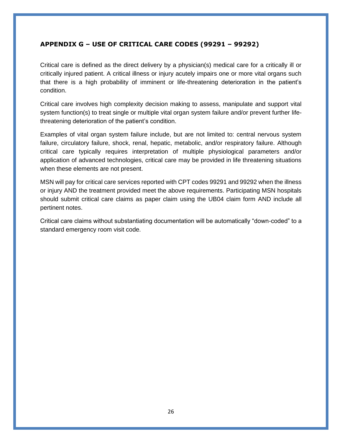### **APPENDIX G – USE OF CRITICAL CARE CODES (99291 – 99292)**

Critical care is defined as the direct delivery by a physician(s) medical care for a critically ill or critically injured patient. A critical illness or injury acutely impairs one or more vital organs such that there is a high probability of imminent or life-threatening deterioration in the patient's condition.

Critical care involves high complexity decision making to assess, manipulate and support vital system function(s) to treat single or multiple vital organ system failure and/or prevent further lifethreatening deterioration of the patient's condition.

Examples of vital organ system failure include, but are not limited to: central nervous system failure, circulatory failure, shock, renal, hepatic, metabolic, and/or respiratory failure. Although critical care typically requires interpretation of multiple physiological parameters and/or application of advanced technologies, critical care may be provided in life threatening situations when these elements are not present.

MSN will pay for critical care services reported with CPT codes 99291 and 99292 when the illness or injury AND the treatment provided meet the above requirements. Participating MSN hospitals should submit critical care claims as paper claim using the UB04 claim form AND include all pertinent notes.

Critical care claims without substantiating documentation will be automatically "down-coded" to a standard emergency room visit code.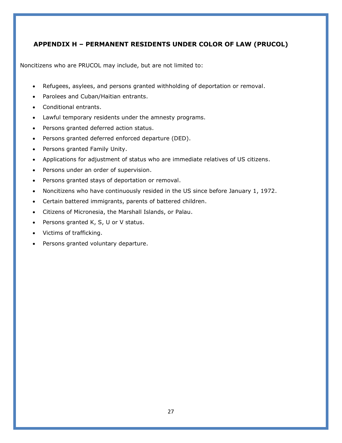## **APPENDIX H – PERMANENT RESIDENTS UNDER COLOR OF LAW (PRUCOL)**

Noncitizens who are PRUCOL may include, but are not limited to:

- Refugees, asylees, and persons granted withholding of deportation or removal.
- Parolees and Cuban/Haitian entrants.
- Conditional entrants.
- Lawful temporary residents under the amnesty programs.
- Persons granted deferred action status.
- Persons granted deferred enforced departure (DED).
- Persons granted Family Unity.
- Applications for adjustment of status who are immediate relatives of US citizens.
- Persons under an order of supervision.
- Persons granted stays of deportation or removal.
- Noncitizens who have continuously resided in the US since before January 1, 1972.
- Certain battered immigrants, parents of battered children.
- Citizens of Micronesia, the Marshall Islands, or Palau.
- Persons granted K, S, U or V status.
- Victims of trafficking.
- Persons granted voluntary departure.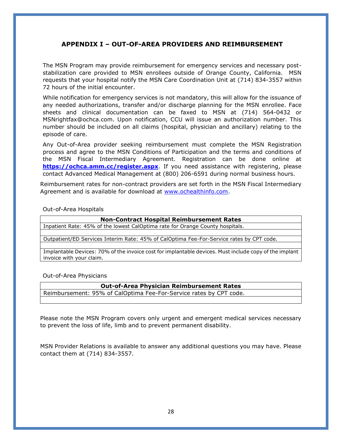### **APPENDIX I – OUT-OF-AREA PROVIDERS AND REIMBURSEMENT**

The MSN Program may provide reimbursement for emergency services and necessary poststabilization care provided to MSN enrollees outside of Orange County, California. MSN requests that your hospital notify the MSN Care Coordination Unit at (714) 834-3557 within 72 hours of the initial encounter.

While notification for emergency services is not mandatory, this will allow for the issuance of any needed authorizations, transfer and/or discharge planning for the MSN enrollee. Face sheets and clinical documentation can be faxed to MSN at (714) 564-0432 or MSNrightfax@ochca.com. Upon notification, CCU will issue an authorization number. This number should be included on all claims (hospital, physician and ancillary) relating to the episode of care.

Any Out-of-Area provider seeking reimbursement must complete the MSN Registration process and agree to the MSN Conditions of Participation and the terms and conditions of the MSN Fiscal Intermediary Agreement. Registration can be done online at **<https://ochca.amm.cc/register.aspx>**. If you need assistance with registering, please contact Advanced Medical Management at (800) 206-6591 during normal business hours.

Reimbursement rates for non-contract providers are set forth in the MSN Fiscal Intermediary Agreement and is available for download at [www.ochealthinfo.com.](http://www.ochealthinfo.com/)

Out-of-Area Hospitals

**Non-Contract Hospital Reimbursement Rates**

Inpatient Rate: 45% of the lowest CalOptima rate for Orange County hospitals.

Outpatient/ED Services Interim Rate: 45% of CalOptima Fee-For-Service rates by CPT code.

Implantable Devices: 70% of the invoice cost for implantable devices. Must include copy of the implant invoice with your claim.

Out-of-Area Physicians

**Out-of-Area Physician Reimbursement Rates**

Reimbursement: 95% of CalOptima Fee-For-Service rates by CPT code.

Please note the MSN Program covers only urgent and emergent medical services necessary to prevent the loss of life, limb and to prevent permanent disability.

MSN Provider Relations is available to answer any additional questions you may have. Please contact them at (714) 834-3557.